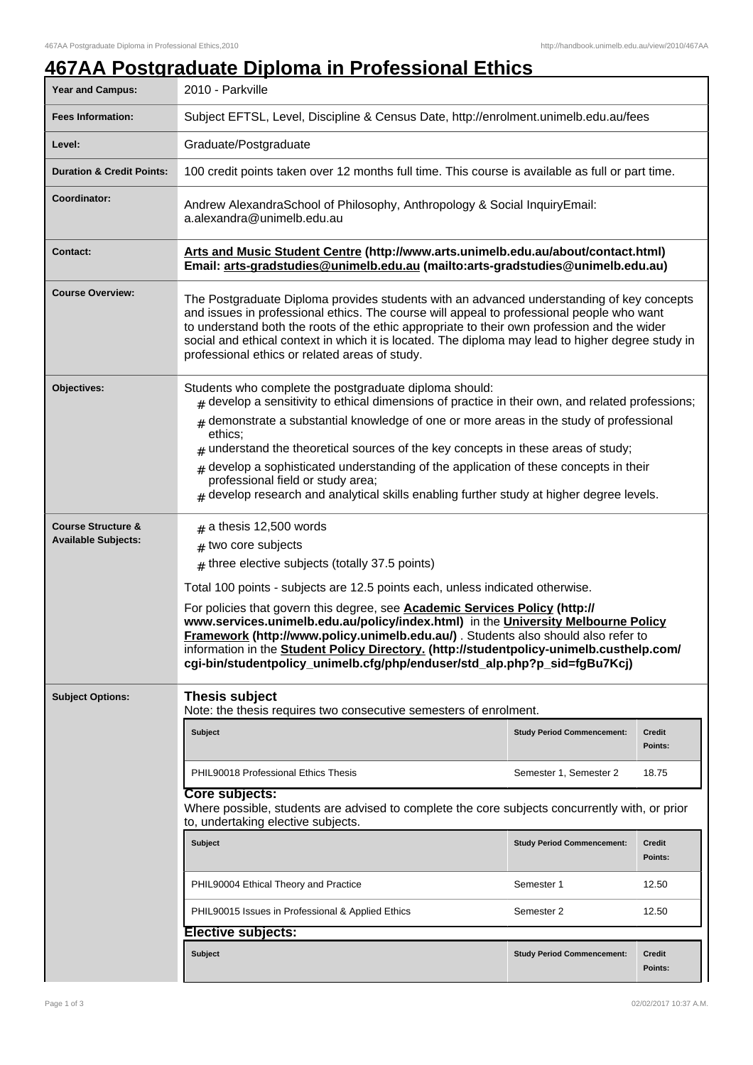## **467AA Postgraduate Diploma in Professional Ethics**

| <b>Year and Campus:</b>                                     | 2010 - Parkville                                                                                                                                                                                                                                                                                                                                                                                                                                                                                                                                                                                                                          |                                   |                   |  |
|-------------------------------------------------------------|-------------------------------------------------------------------------------------------------------------------------------------------------------------------------------------------------------------------------------------------------------------------------------------------------------------------------------------------------------------------------------------------------------------------------------------------------------------------------------------------------------------------------------------------------------------------------------------------------------------------------------------------|-----------------------------------|-------------------|--|
| <b>Fees Information:</b>                                    | Subject EFTSL, Level, Discipline & Census Date, http://enrolment.unimelb.edu.au/fees                                                                                                                                                                                                                                                                                                                                                                                                                                                                                                                                                      |                                   |                   |  |
| Level:                                                      | Graduate/Postgraduate                                                                                                                                                                                                                                                                                                                                                                                                                                                                                                                                                                                                                     |                                   |                   |  |
| <b>Duration &amp; Credit Points:</b>                        | 100 credit points taken over 12 months full time. This course is available as full or part time.                                                                                                                                                                                                                                                                                                                                                                                                                                                                                                                                          |                                   |                   |  |
| <b>Coordinator:</b>                                         | Andrew AlexandraSchool of Philosophy, Anthropology & Social InquiryEmail:<br>a.alexandra@unimelb.edu.au                                                                                                                                                                                                                                                                                                                                                                                                                                                                                                                                   |                                   |                   |  |
| <b>Contact:</b>                                             | Arts and Music Student Centre (http://www.arts.unimelb.edu.au/about/contact.html)<br>Email: arts-gradstudies@unimelb.edu.au (mailto:arts-gradstudies@unimelb.edu.au)                                                                                                                                                                                                                                                                                                                                                                                                                                                                      |                                   |                   |  |
| <b>Course Overview:</b>                                     | The Postgraduate Diploma provides students with an advanced understanding of key concepts<br>and issues in professional ethics. The course will appeal to professional people who want<br>to understand both the roots of the ethic appropriate to their own profession and the wider<br>social and ethical context in which it is located. The diploma may lead to higher degree study in<br>professional ethics or related areas of study.                                                                                                                                                                                              |                                   |                   |  |
| <b>Objectives:</b>                                          | Students who complete the postgraduate diploma should:<br>$_{\text{\#}}$ develop a sensitivity to ethical dimensions of practice in their own, and related professions;<br>demonstrate a substantial knowledge of one or more areas in the study of professional<br>#<br>ethics;<br>understand the theoretical sources of the key concepts in these areas of study;<br>#<br>develop a sophisticated understanding of the application of these concepts in their<br>#<br>professional field or study area;<br>$_{\#}$ develop research and analytical skills enabling further study at higher degree levels.                               |                                   |                   |  |
| <b>Course Structure &amp;</b><br><b>Available Subjects:</b> | $#$ a thesis 12,500 words<br>$#$ two core subjects<br>$#$ three elective subjects (totally 37.5 points)<br>Total 100 points - subjects are 12.5 points each, unless indicated otherwise.<br>For policies that govern this degree, see <b>Academic Services Policy (http://</b><br>www.services.unimelb.edu.au/policy/index.html) in the University Melbourne Policy<br>Framework (http://www.policy.unimelb.edu.au/) . Students also should also refer to<br>information in the <b>Student Policy Directory.</b> (http://studentpolicy-unimelb.custhelp.com/<br>cgi-bin/studentpolicy_unimelb.cfg/php/enduser/std_alp.php?p_sid=fgBu7Kcj) |                                   |                   |  |
| <b>Subject Options:</b>                                     | Thesis subject<br>Note: the thesis requires two consecutive semesters of enrolment.                                                                                                                                                                                                                                                                                                                                                                                                                                                                                                                                                       |                                   |                   |  |
|                                                             | <b>Subject</b>                                                                                                                                                                                                                                                                                                                                                                                                                                                                                                                                                                                                                            | <b>Study Period Commencement:</b> | Credit<br>Points: |  |
|                                                             | <b>PHIL90018 Professional Ethics Thesis</b>                                                                                                                                                                                                                                                                                                                                                                                                                                                                                                                                                                                               | Semester 1, Semester 2            | 18.75             |  |
|                                                             | Core subjects:<br>Where possible, students are advised to complete the core subjects concurrently with, or prior<br>to, undertaking elective subjects.                                                                                                                                                                                                                                                                                                                                                                                                                                                                                    |                                   |                   |  |
|                                                             | <b>Subject</b>                                                                                                                                                                                                                                                                                                                                                                                                                                                                                                                                                                                                                            | <b>Study Period Commencement:</b> | Credit<br>Points: |  |
|                                                             | PHIL90004 Ethical Theory and Practice                                                                                                                                                                                                                                                                                                                                                                                                                                                                                                                                                                                                     | Semester 1                        | 12.50             |  |
|                                                             | PHIL90015 Issues in Professional & Applied Ethics                                                                                                                                                                                                                                                                                                                                                                                                                                                                                                                                                                                         | Semester 2                        | 12.50             |  |
|                                                             | <b>Elective subjects:</b>                                                                                                                                                                                                                                                                                                                                                                                                                                                                                                                                                                                                                 |                                   |                   |  |
|                                                             | <b>Subject</b>                                                                                                                                                                                                                                                                                                                                                                                                                                                                                                                                                                                                                            | <b>Study Period Commencement:</b> | Credit<br>Points: |  |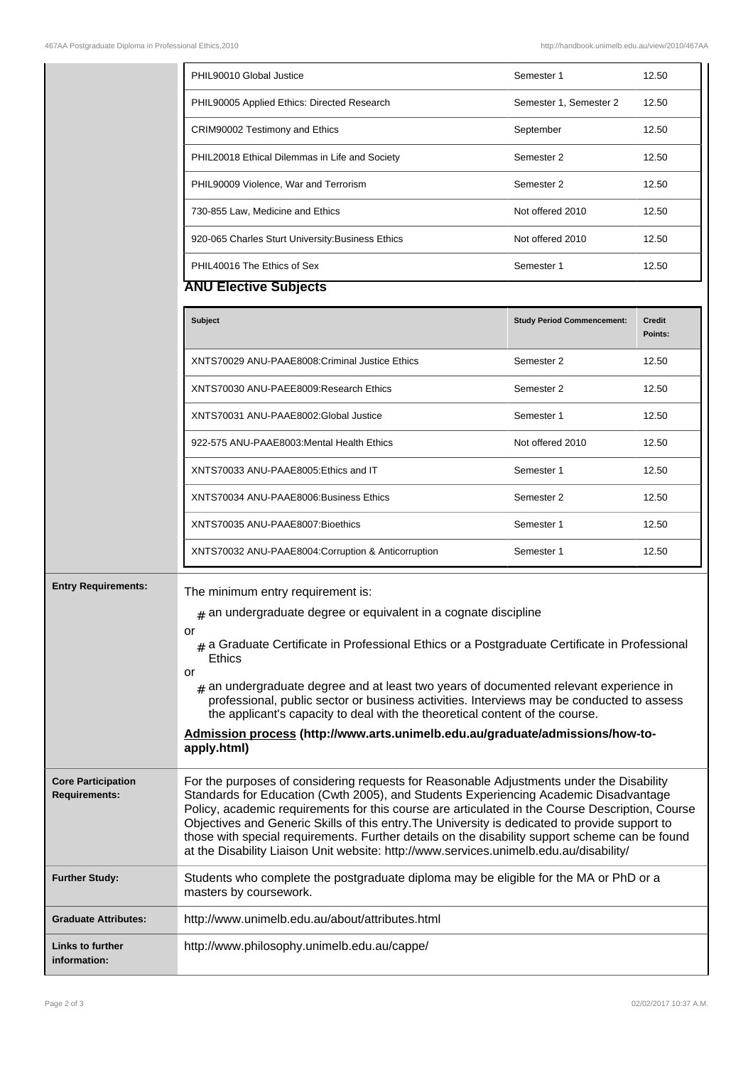|                                                   | PHIL90010 Global Justice                                                                                                                                                                                                                                                                                                                                                                                                                                                                                                                                                                                    | Semester 1                        | 12.50                    |
|---------------------------------------------------|-------------------------------------------------------------------------------------------------------------------------------------------------------------------------------------------------------------------------------------------------------------------------------------------------------------------------------------------------------------------------------------------------------------------------------------------------------------------------------------------------------------------------------------------------------------------------------------------------------------|-----------------------------------|--------------------------|
|                                                   | PHIL90005 Applied Ethics: Directed Research                                                                                                                                                                                                                                                                                                                                                                                                                                                                                                                                                                 | Semester 1, Semester 2            | 12.50                    |
|                                                   | CRIM90002 Testimony and Ethics                                                                                                                                                                                                                                                                                                                                                                                                                                                                                                                                                                              | September                         | 12.50                    |
|                                                   | PHIL20018 Ethical Dilemmas in Life and Society                                                                                                                                                                                                                                                                                                                                                                                                                                                                                                                                                              | Semester 2                        | 12.50                    |
|                                                   | PHIL90009 Violence, War and Terrorism                                                                                                                                                                                                                                                                                                                                                                                                                                                                                                                                                                       | Semester 2                        | 12.50                    |
|                                                   | 730-855 Law, Medicine and Ethics                                                                                                                                                                                                                                                                                                                                                                                                                                                                                                                                                                            | Not offered 2010                  | 12.50                    |
|                                                   | 920-065 Charles Sturt University: Business Ethics                                                                                                                                                                                                                                                                                                                                                                                                                                                                                                                                                           | Not offered 2010                  | 12.50                    |
|                                                   | PHIL40016 The Ethics of Sex                                                                                                                                                                                                                                                                                                                                                                                                                                                                                                                                                                                 | Semester 1                        | 12.50                    |
|                                                   | <b>ANU Elective Subjects</b>                                                                                                                                                                                                                                                                                                                                                                                                                                                                                                                                                                                |                                   |                          |
|                                                   | <b>Subject</b>                                                                                                                                                                                                                                                                                                                                                                                                                                                                                                                                                                                              | <b>Study Period Commencement:</b> | <b>Credit</b><br>Points: |
|                                                   | XNTS70029 ANU-PAAE8008: Criminal Justice Ethics                                                                                                                                                                                                                                                                                                                                                                                                                                                                                                                                                             | Semester 2                        | 12.50                    |
|                                                   | XNTS70030 ANU-PAEE8009:Research Ethics                                                                                                                                                                                                                                                                                                                                                                                                                                                                                                                                                                      | Semester 2                        | 12.50                    |
|                                                   | XNTS70031 ANU-PAAE8002:Global Justice                                                                                                                                                                                                                                                                                                                                                                                                                                                                                                                                                                       | Semester 1                        | 12.50                    |
|                                                   | 922-575 ANU-PAAE8003: Mental Health Ethics                                                                                                                                                                                                                                                                                                                                                                                                                                                                                                                                                                  | Not offered 2010                  | 12.50                    |
|                                                   | XNTS70033 ANU-PAAE8005: Ethics and IT                                                                                                                                                                                                                                                                                                                                                                                                                                                                                                                                                                       | Semester 1                        | 12.50                    |
|                                                   | XNTS70034 ANU-PAAE8006: Business Ethics                                                                                                                                                                                                                                                                                                                                                                                                                                                                                                                                                                     | Semester 2                        | 12.50                    |
|                                                   | XNTS70035 ANU-PAAE8007:Bioethics                                                                                                                                                                                                                                                                                                                                                                                                                                                                                                                                                                            | Semester 1                        | 12.50                    |
|                                                   | XNTS70032 ANU-PAAE8004: Corruption & Anticorruption                                                                                                                                                                                                                                                                                                                                                                                                                                                                                                                                                         | Semester 1                        | 12.50                    |
| <b>Entry Requirements:</b>                        | The minimum entry requirement is:<br>$#$ an undergraduate degree or equivalent in a cognate discipline<br>or<br>$#$ a Graduate Certificate in Professional Ethics or a Postgraduate Certificate in Professional<br>Ethics<br>or<br>$_{\#}$ an undergraduate degree and at least two years of documented relevant experience in<br>professional, public sector or business activities. Interviews may be conducted to assess<br>the applicant's capacity to deal with the theoretical content of the course.<br>Admission process (http://www.arts.unimelb.edu.au/graduate/admissions/how-to-<br>apply.html) |                                   |                          |
| <b>Core Participation</b><br><b>Requirements:</b> | For the purposes of considering requests for Reasonable Adjustments under the Disability<br>Standards for Education (Cwth 2005), and Students Experiencing Academic Disadvantage<br>Policy, academic requirements for this course are articulated in the Course Description, Course<br>Objectives and Generic Skills of this entry. The University is dedicated to provide support to<br>those with special requirements. Further details on the disability support scheme can be found<br>at the Disability Liaison Unit website: http://www.services.unimelb.edu.au/disability/                           |                                   |                          |
| <b>Further Study:</b>                             | Students who complete the postgraduate diploma may be eligible for the MA or PhD or a<br>masters by coursework.                                                                                                                                                                                                                                                                                                                                                                                                                                                                                             |                                   |                          |
| <b>Graduate Attributes:</b>                       | http://www.unimelb.edu.au/about/attributes.html                                                                                                                                                                                                                                                                                                                                                                                                                                                                                                                                                             |                                   |                          |
| Links to further<br>information:                  | http://www.philosophy.unimelb.edu.au/cappe/                                                                                                                                                                                                                                                                                                                                                                                                                                                                                                                                                                 |                                   |                          |